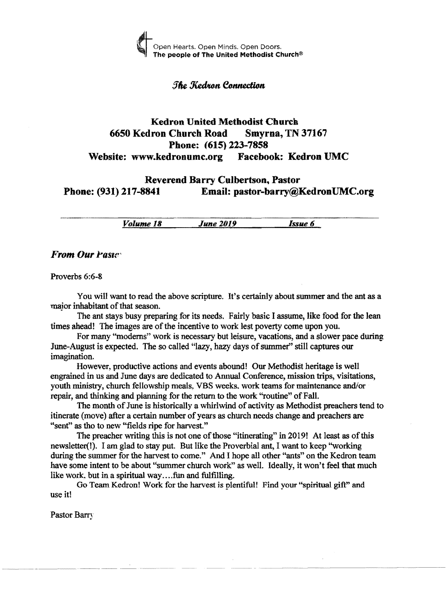

# **The Kedron Connection**

# Kedron United Methodist Church 6650 Kedron Church Road Smyrna, TN 37167 Phone: (615) 223-7858 Website: www.kedronumc.org Facebook: Kedron UMC

# Reverend Barry Culbertson, Pastor Phone: (931) 217-8841 Email: pastor-barry@KedronUMC.org

*Volume 18 June 2019 Issue* 6

# *From Our Paste*

Proverbs 6:6-&

You will want to read the above scripture. It's certainly about summer and the ant as a major inhabitant of that season.

The ant stays busy preparing for its needs. Fairly basic I assume, like food for the lean times ahead! The images are of the incentive to work lest poverty come upon you.

For many ''moderns'' work is necessary but leisure, vacations, and a slower pace during June-August is expected. The so called "lazy, hazy days of summer" still captures our imagination.

However, productive actions and events abound! Our Methodist heritage is well engrained in us and June days are dedicated to Annual Conference, mission trips, visitations, youth ministry, church fellowship meals, VBS weeks. work teams for maintenance and/or repair, and thinking and planning for the return to the work "routine" of Fall.

The month of June is historically a whirlwind of activity as Methodist preachers tend to itinerate (move) after a certain number ofyears as church needs change and preachers are "sent" as tho to new "fields ripe for harvest."

The preacher writing this is not one of those "itinerating" in 2019! At least as of this newsletter(!). I am glad to stay put. But like the Proverbial ant, I want to keep "working during the summer for the harvest to come." And I hope all other "ants" on the Kedron team have some intent to be about "summer church work" as well. Ideally, it won't feel that much like work, but in a spiritual way....fun and fulfilling.

Go Team Kedron! Work for the harvest is plentiful! Find your "spiritual gift" and use it!

Pastor Barry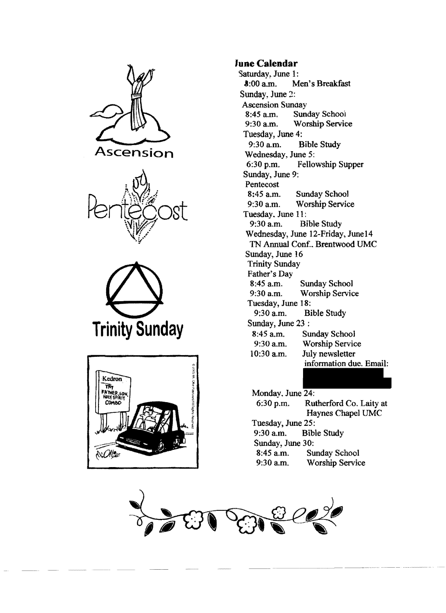







# **June Calendar**

Saturday, June 1:<br> $\text{3:00 a.m.}$  M Men's Breakfast Sunday, June 2: Ascension Sunday<br>8:45 a.m. Sund 8:45 a.m. Sunday School<br>9:30 a.m. Worship Servic Worship Service Tuesday, June 4: 9:30 a.m. Bible Study Wednesday, June 5:<br>6:30 p.m. Fello Fellowship Supper Sunday, June 9: Pentecost<br>8:45 a.m. Sunday School 9:30 a.m. Worship Service Tuesday. June 11:<br>9:30 a.m. Bi Bible Study Wednesday, June 12-Friday, June 14 TN Annual Conf.. Brentwood UMC Sunday, June 16 Trinity Sunday Father's Day<br>8:45 a.m. Sunday School 9:30 a.m. Worship Service Tuesday, June 18: 9:30 a.m. Bible Study Sunday, June 23 : 8:45 a.m. Sunday Schoo1 9:30 a.m. Worship Service 10:30 a.m. July newsletter information due. Email:

Monday. June 24: 6:30 p.m. Rutherford Co. Laity at Haynes Chapel UMC Tuesday, June 25:<br>9:30 a.m. Bibl **Bible Study** Sunday, June 30:<br>8:45 a.m. Su Sunday School 9:30 a.m. Worship Service

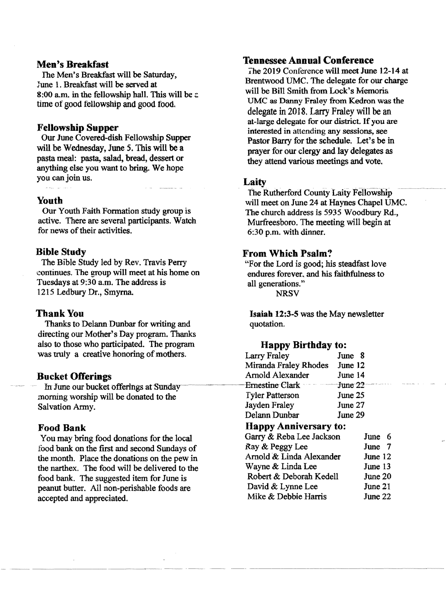## Men's Breakfast

The Men's Breakfast will be Saturday, June 1. Breakfast will be served at 8:00 a.m. in the fellowship hall. This will be a. time of good fellowship and good food.

#### Fellowship Supper

Our June Covered-dish Fellowship Supper will be Wednesday, June 5. This will be a pasta meal: pasta, salad, bread, dessert or anything else you want to bring. We hope you can join us.

#### Youth

Our Youth Faith Fonnation study group is active. There are several participants. Watch for news of their activities.

#### Bible Study

The Bible Study led by Rev. Travis Perry continues. The group will meet at his home on Tuesdays at 9:30 a.m. The address is 1215 Ledbury Dr., Smyrna.

#### Thank You

Thanks to Delann Dunbar for writing and directing our Mother's Day program. Thanks also to those who participated. The program was truly a creative honoring of mothers.

## Bucket Offerings

In June our bucket offerings at Sunday morning worship will be donated to the Salvation Army.

# Food Bank

You may bring food donations for the local food bank on the first and second Sundays of the month. Place the donations on the pew in the narthex. The food will be delivered to the food bank. The suggested item for June is peanut butter. All non-perishable foods are accepted and appreciated.

# Tennessee Annual Conference

i'he 2019 Conference will meet June 12-14 at Brentwood UMC. The delegate for our charge will be Bill Smith from Lock's Memoria UMC as Danny Fraley from Kedron was the delegate in 2018. Larry Fraley will be an at-large delegate for our district. If you are interested in attending any sessions, see Pastor Barry for the schedule. Let's be in prayer for our clergy and lay delegates as they attend various meetings and vote.

#### Laity

The Rutherford County Laity Fellowship will meet on June 24 at Haynes Chapel UMC. The church address is 5935 Woodbury Rd., Murfreesboro. The meeting will begin at 6:30 p.m. with dinner.

## From Which Psalm?

"For the Lord is good; his steadfast love endures forever, and his faithfulness to all generations."

**NRSV** 

Isaiah 12:3-5 was the May newsletter quotation.

## Happy Birthday to:

| <b>Larry Fraley</b>          | June 8  |      |   |
|------------------------------|---------|------|---|
| Miranda Fraley Rhodes        | June 12 |      |   |
| Arnold Alexander             | June 14 |      |   |
| Ernestine Clark Tune 22      |         |      |   |
| <b>Tyler Patterson</b>       | June 25 |      |   |
| Jayden Fraley                | June 27 |      |   |
| Delann Dunbar                | June 29 |      |   |
| <b>Happy Anniversary to:</b> |         |      |   |
| Garry & Reba Lee Jackson     |         | June | 6 |
| $P_{2V}$ & Degree Lee        |         | مسدآ | 7 |

| Ray & Peggy Lee          | June 7  |
|--------------------------|---------|
| Arnold & Linda Alexander | June 12 |
| Wayne & Linda Lee        | June 13 |
| Robert & Deborah Kedell  | June 20 |
| David & Lynne Lee        | June 21 |
| Mike & Debbie Harris     | June 22 |